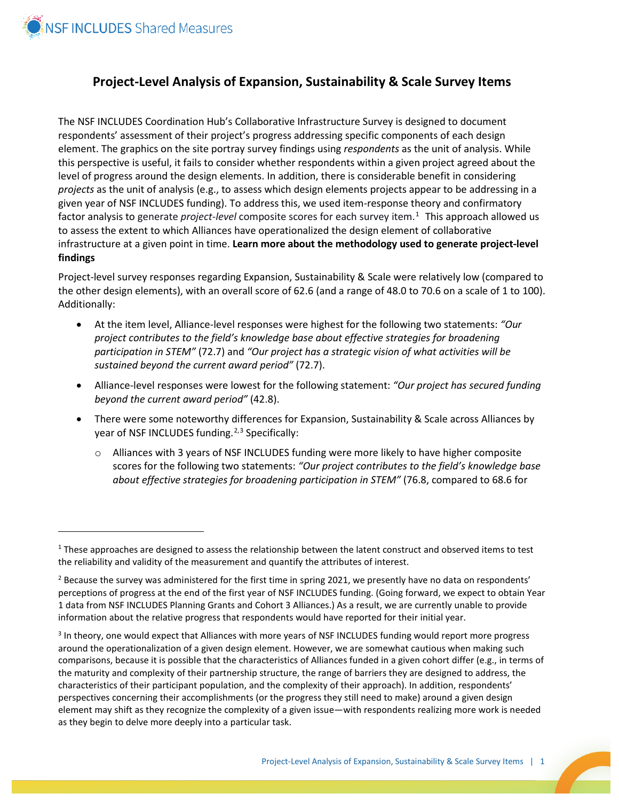

 $\overline{a}$ 

## **Project-Level Analysis of Expansion, Sustainability & Scale Survey Items**

The NSF INCLUDES Coordination Hub's Collaborative Infrastructure Survey is designed to document respondents' assessment of their project's progress addressing specific components of each design element. The graphics on the site portray survey findings using *respondents* as the unit of analysis. While this perspective is useful, it fails to consider whether respondents within a given project agreed about the level of progress around the design elements. In addition, there is considerable benefit in considering *projects* as the unit of analysis (e.g., to assess which design elements projects appear to be addressing in a given year of NSF INCLUDES funding). To address this, we used item-response theory and confirmatory factor analysis to generate *project-level* composite scores for each survey item.<sup>[1](#page-0-0)</sup> This approach allowed us to assess the extent to which Alliances have operationalized the design element of collaborative infrastructure at a given point in time. **Learn more about the methodology used to generate project-level findings**

Project-level survey responses regarding Expansion, Sustainability & Scale were relatively low (compared to the other design elements), with an overall score of 62.6 (and a range of 48.0 to 70.6 on a scale of 1 to 100). Additionally:

- At the item level, Alliance-level responses were highest for the following two statements: *"Our project contributes to the field's knowledge base about effective strategies for broadening participation in STEM"* (72.7) and *"Our project has a strategic vision of what activities will be sustained beyond the current award period"* (72.7).
- Alliance-level responses were lowest for the following statement: *"Our project has secured funding beyond the current award period"* (42.8).
- There were some noteworthy differences for Expansion, Sustainability & Scale across Alliances by year of NSF INCLUDES funding.<sup>[2,3](#page-0-1)</sup> [S](#page-0-2)pecifically:
	- $\circ$  Alliances with 3 years of NSF INCLUDES funding were more likely to have higher composite scores for the following two statements: *"Our project contributes to the field's knowledge base about effective strategies for broadening participation in STEM"* (76.8, compared to 68.6 for

<span id="page-0-0"></span> $1$  These approaches are designed to assess the relationship between the latent construct and observed items to test the reliability and validity of the measurement and quantify the attributes of interest.

<span id="page-0-1"></span> $<sup>2</sup>$  Because the survey was administered for the first time in spring 2021, we presently have no data on respondents'</sup> perceptions of progress at the end of the first year of NSF INCLUDES funding. (Going forward, we expect to obtain Year 1 data from NSF INCLUDES Planning Grants and Cohort 3 Alliances.) As a result, we are currently unable to provide information about the relative progress that respondents would have reported for their initial year.

<span id="page-0-2"></span><sup>&</sup>lt;sup>3</sup> In theory, one would expect that Alliances with more years of NSF INCLUDES funding would report more progress around the operationalization of a given design element. However, we are somewhat cautious when making such comparisons, because it is possible that the characteristics of Alliances funded in a given cohort differ (e.g., in terms of the maturity and complexity of their partnership structure, the range of barriers they are designed to address, the characteristics of their participant population, and the complexity of their approach). In addition, respondents' perspectives concerning their accomplishments (or the progress they still need to make) around a given design element may shift as they recognize the complexity of a given issue—with respondents realizing more work is needed as they begin to delve more deeply into a particular task.